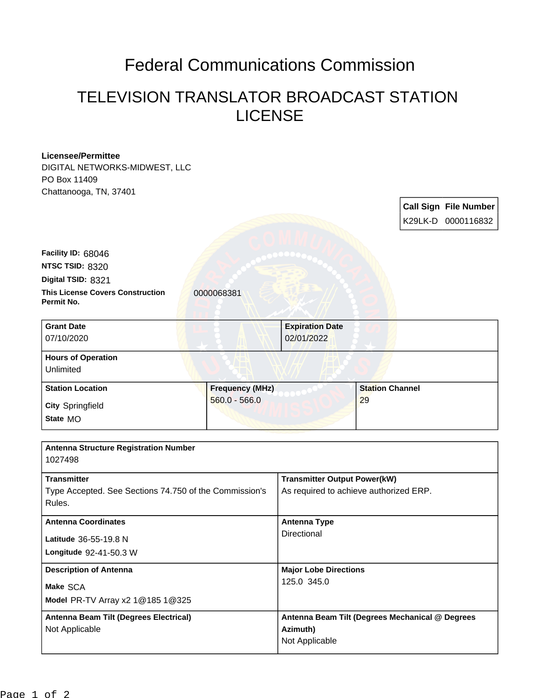## Federal Communications Commission

## TELEVISION TRANSLATOR BROADCAST STATION LICENSE

| <b>Licensee/Permittee</b><br>DIGITAL NETWORKS-MIDWEST, LLC |                        |                                                 |                        |  |                              |
|------------------------------------------------------------|------------------------|-------------------------------------------------|------------------------|--|------------------------------|
| PO Box 11409                                               |                        |                                                 |                        |  |                              |
| Chattanooga, TN, 37401                                     |                        |                                                 |                        |  |                              |
|                                                            |                        |                                                 |                        |  | <b>Call Sign File Number</b> |
|                                                            |                        |                                                 |                        |  | K29LK-D 0000116832           |
|                                                            |                        |                                                 |                        |  |                              |
| Facility ID: 68046                                         |                        |                                                 |                        |  |                              |
| NTSC TSID: 8320                                            |                        |                                                 |                        |  |                              |
| Digital TSID: 8321                                         |                        |                                                 |                        |  |                              |
| <b>This License Covers Construction</b>                    | 0000068381             |                                                 |                        |  |                              |
| Permit No.                                                 |                        |                                                 |                        |  |                              |
|                                                            |                        |                                                 |                        |  |                              |
| <b>Grant Date</b>                                          |                        | <b>Expiration Date</b>                          |                        |  |                              |
| 07/10/2020                                                 |                        | 02/01/2022                                      |                        |  |                              |
| <b>Hours of Operation</b>                                  |                        |                                                 |                        |  |                              |
| Unlimited                                                  |                        |                                                 |                        |  |                              |
| <b>Station Location</b>                                    | <b>Frequency (MHz)</b> |                                                 | <b>Station Channel</b> |  |                              |
|                                                            | $560.0 - 566.0$        |                                                 | 29                     |  |                              |
| <b>City Springfield</b>                                    |                        |                                                 |                        |  |                              |
| State MO                                                   |                        |                                                 |                        |  |                              |
|                                                            |                        |                                                 |                        |  |                              |
| <b>Antenna Structure Registration Number</b>               |                        |                                                 |                        |  |                              |
| 1027498                                                    |                        |                                                 |                        |  |                              |
| <b>Transmitter</b>                                         |                        | <b>Transmitter Output Power(kW)</b>             |                        |  |                              |
| Type Accepted. See Sections 74.750 of the Commission's     |                        | As required to achieve authorized ERP.          |                        |  |                              |
| Rules.                                                     |                        |                                                 |                        |  |                              |
| <b>Antenna Coordinates</b>                                 |                        | <b>Antenna Type</b>                             |                        |  |                              |
|                                                            |                        | Directional                                     |                        |  |                              |
| Latitude 36-55-19.8 N                                      |                        |                                                 |                        |  |                              |
| Longitude 92-41-50.3 W                                     |                        |                                                 |                        |  |                              |
| <b>Description of Antenna</b>                              |                        | <b>Major Lobe Directions</b>                    |                        |  |                              |
| Make SCA                                                   |                        | 125.0 345.0                                     |                        |  |                              |
| Model PR-TV Array x2 1@185 1@325                           |                        |                                                 |                        |  |                              |
| Antenna Beam Tilt (Degrees Electrical)                     |                        | Antenna Beam Tilt (Degrees Mechanical @ Degrees |                        |  |                              |
| Not Applicable                                             |                        | Azimuth)                                        |                        |  |                              |
|                                                            |                        | Not Applicable                                  |                        |  |                              |
|                                                            |                        |                                                 |                        |  |                              |